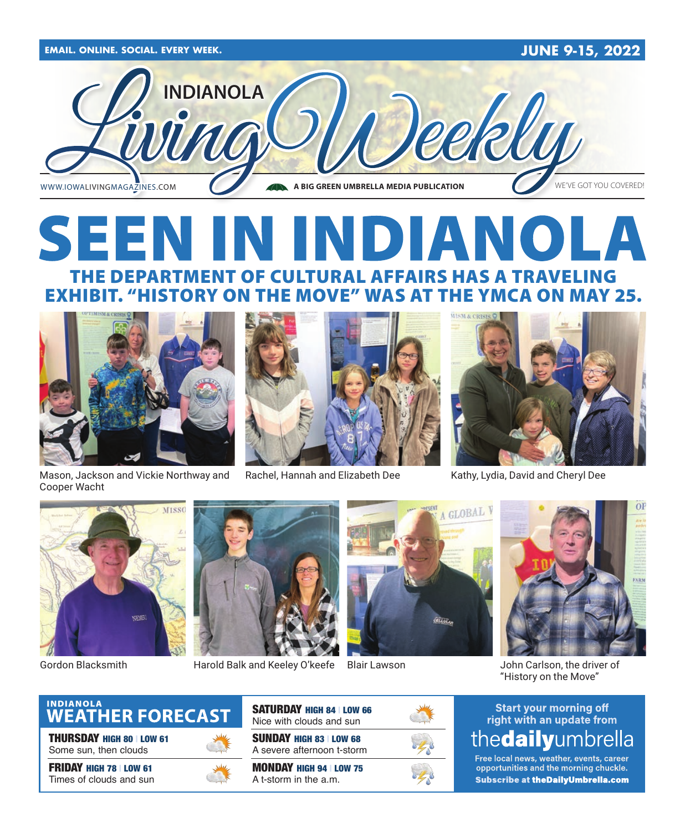

# SEEN IN INDIANOLA THE DEPARTMENT OF CULTURAL AFFAIRS HAS A TRAVELING EXHIBIT. "HISTORY ON THE MOVE" WAS AT THE YMCA ON MAY 25.





Mason, Jackson and Vickie Northway and Rachel, Hannah and Elizabeth Dee Kathy, Lydia, David and Cheryl Dee





Gordon Blacksmith

Cooper Wacht



Harold Balk and Keeley O'keefe Blair Lawson Summan Bohn Carlson, the driver of



Blair Lawson



"History on the Move"

#### **Start your morning off** right with an update from thedailyumbrella

Free local news, weather, events, career opportunities and the morning chuckle. **Subscribe at the Daily Umbrella.com** 



THURSDAY HIGH 80 | LOW 61 Some sun, then clouds

FRIDAY HIGH 78 | LOW 61 Times of clouds and sun



SUNDAY HIGH 83 | LOW 68 SATURDAY HIGH 84 | LOW 66 Nice with clouds and sun

A severe afternoon t-storm

MONDAY HIGH 94 | LOW 75 A t-storm in the a.m.

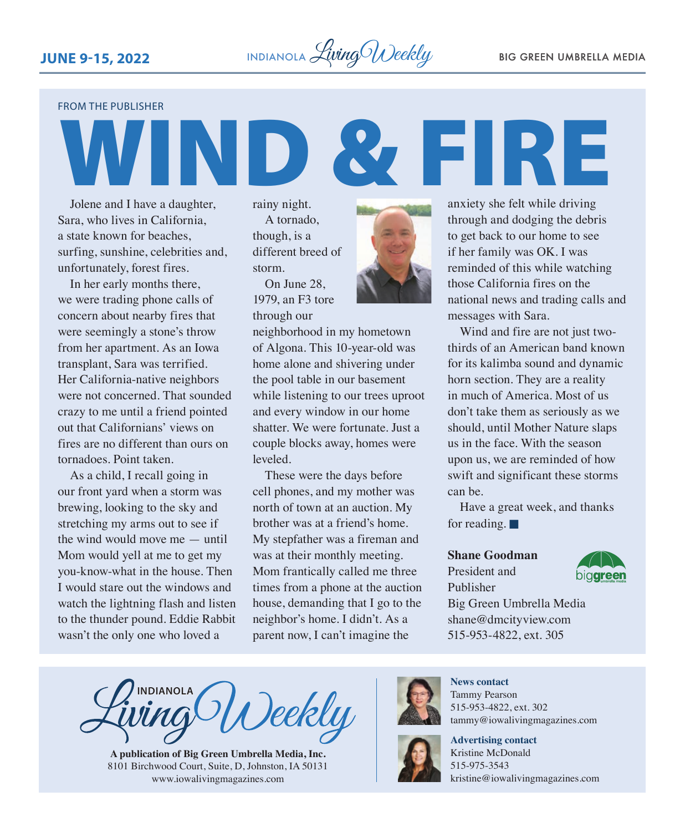

FROM THE PUBLISHER

Jolene and I have a daughter, Sara, who lives in California, a state known for beaches, surfing, sunshine, celebrities and, unfortunately, forest fires.

In her early months there, we were trading phone calls of concern about nearby fires that were seemingly a stone's throw from her apartment. As an Iowa transplant, Sara was terrified. Her California-native neighbors were not concerned. That sounded crazy to me until a friend pointed out that Californians' views on fires are no different than ours on tornadoes. Point taken.

As a child, I recall going in our front yard when a storm was brewing, looking to the sky and stretching my arms out to see if the wind would move me — until Mom would yell at me to get my you-know-what in the house. Then I would stare out the windows and watch the lightning flash and listen to the thunder pound. Eddie Rabbit wasn't the only one who loved a

rainy night. A tornado, though, is a different breed of storm. On June 28

1979, an F3 tore through our



neighborhood in my hometown of Algona. This 10-year-old was home alone and shivering under the pool table in our basement while listening to our trees uproot and every window in our home shatter. We were fortunate. Just a couple blocks away, homes were leveled.

These were the days before cell phones, and my mother was north of town at an auction. My brother was at a friend's home. My stepfather was a fireman and was at their monthly meeting. Mom frantically called me three times from a phone at the auction house, demanding that I go to the neighbor's home. I didn't. As a parent now, I can't imagine the



**WEIRE** 

Wind and fire are not just twothirds of an American band known for its kalimba sound and dynamic horn section. They are a reality in much of America. Most of us don't take them as seriously as we should, until Mother Nature slaps us in the face. With the season upon us, we are reminded of how swift and significant these storms can be.

Have a great week, and thanks for reading.  $\blacksquare$ 

#### **Shane Goodman**

President and Publisher



Big Green Umbrella Media shane@dmcityview.com 515-953-4822, ext. 305

**INDIANOLA** )eekly

**A publication of Big Green Umbrella Media, Inc.** 8101 Birchwood Court, Suite, D, Johnston, IA 50131 [www.iowalivingmagazines.com](http://www.iowalivingmagazines.com)



**News contact** Tammy Pearson 515-953-4822, ext. 302 [tammy@iowalivingmagazines.com](mailto:tammy@iowalivingmagazines.com)

**Advertising contact** Kristine McDonald 515-975-3543 [kristine@iowalivingmagazines.com](mailto:kristine@iowalivingmagazines.com)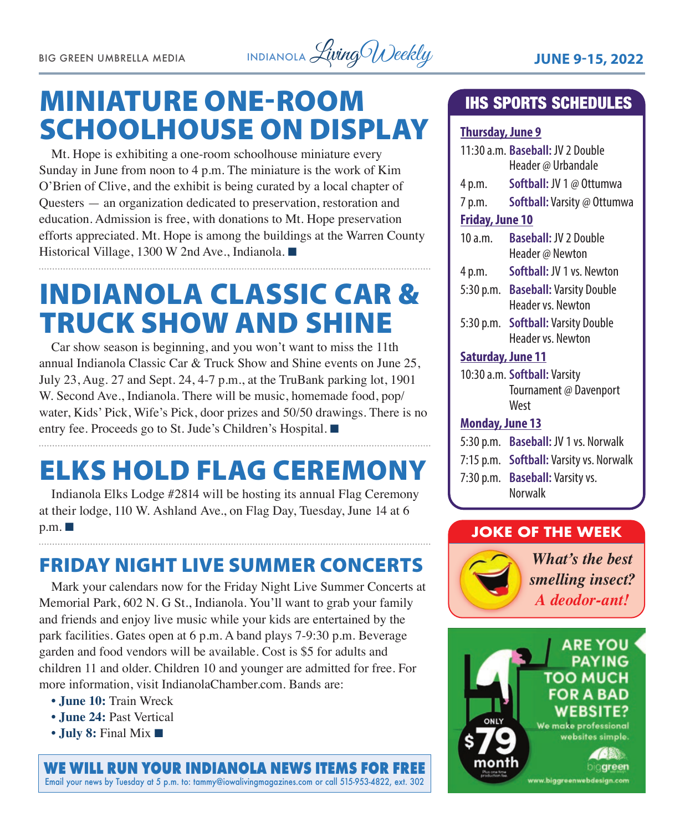

# MINIATURE ONE-ROOM SCHOOLHOUSE ON DISPLAY

Mt. Hope is exhibiting a one-room schoolhouse miniature every Sunday in June from noon to 4 p.m. The miniature is the work of Kim O'Brien of Clive, and the exhibit is being curated by a local chapter of Questers — an organization dedicated to preservation, restoration and education. Admission is free, with donations to Mt. Hope preservation efforts appreciated. Mt. Hope is among the buildings at the Warren County Historical Village, 1300 W 2nd Ave., Indianola. ■

# INDIANOLA CLASSIC CAR & TRUCK SHOW AND SHINE

Car show season is beginning, and you won't want to miss the 11th annual Indianola Classic Car & Truck Show and Shine events on June 25, July 23, Aug. 27 and Sept. 24, 4-7 p.m., at the TruBank parking lot, 1901 W. Second Ave., Indianola. There will be music, homemade food, pop/ water, Kids' Pick, Wife's Pick, door prizes and 50/50 drawings. There is no entry fee. Proceeds go to St. Jude's Children's Hospital. 

# ELKS HOLD FLAG CEREMONY

Indianola Elks Lodge #2814 will be hosting its annual Flag Ceremony at their lodge, 110 W. Ashland Ave., on Flag Day, Tuesday, June 14 at 6  $p.m.$ 

# FRIDAY NIGHT LIVE SUMMER CONCERTS

Mark your calendars now for the Friday Night Live Summer Concerts at Memorial Park, 602 N. G St., Indianola. You'll want to grab your family and friends and enjoy live music while your kids are entertained by the park facilities. Gates open at 6 p.m. A band plays 7-9:30 p.m. Beverage garden and food vendors will be available. Cost is \$5 for adults and children 11 and older. Children 10 and younger are admitted for free. For more information, visit [IndianolaChamber.com.](http://IndianolaChamber.com) Bands are:

- **June 10:** Train Wreck
- **June 24:** Past Vertical
- **July 8:** Final Mix  $\blacksquare$

**WE WILL RUN YOUR INDIANOLA NEWS ITEMS FOR FREE** Email your news by Tuesday at 5 p.m. to: [tammy@iowalivingmagazines.com](mailto:tammy@iowalivingmagazines.com) or call 515-953-4822, ext. 302

## IHS SPORTS SCHEDULES

#### **Thursday, June 9**

|                              | 11:30 a.m. Baseball: JV 2 Double<br>Header @ Urbandale         |
|------------------------------|----------------------------------------------------------------|
| 4 p.m.                       | Softball: JV 1 @ Ottumwa                                       |
| 7 p.m.                       | Softball: Varsity @ Ottumwa                                    |
| <b>Friday, June 10</b>       |                                                                |
| 10 a.m.                      | <b>Baseball: JV 2 Double</b><br>Header @ Newton                |
| 4 p.m.                       | Softball: JV 1 vs. Newton                                      |
|                              | 5:30 p.m. Baseball: Varsity Double<br>Header vs. Newton        |
|                              | 5:30 p.m. <b>Softball:</b> Varsity Double<br>Header vs. Newton |
| <b>Saturday, June 11</b>     |                                                                |
| 10:30 a.m. Softball: Varsity |                                                                |
|                              | Tournament @ Davenport<br>West                                 |
| <b>Monday, June 13</b>       |                                                                |
|                              | 5:30 p.m. Baseball: JV 1 vs. Norwalk                           |
|                              | 7:15 p.m. <b>Softball:</b> Varsity vs. Norwalk                 |
|                              | 7:30 p.m. Baseball: Varsity vs.<br>Norwalk                     |

#### **JOKE OF THE WEEK**



*What's the best smelling insect? A deodor-ant!*

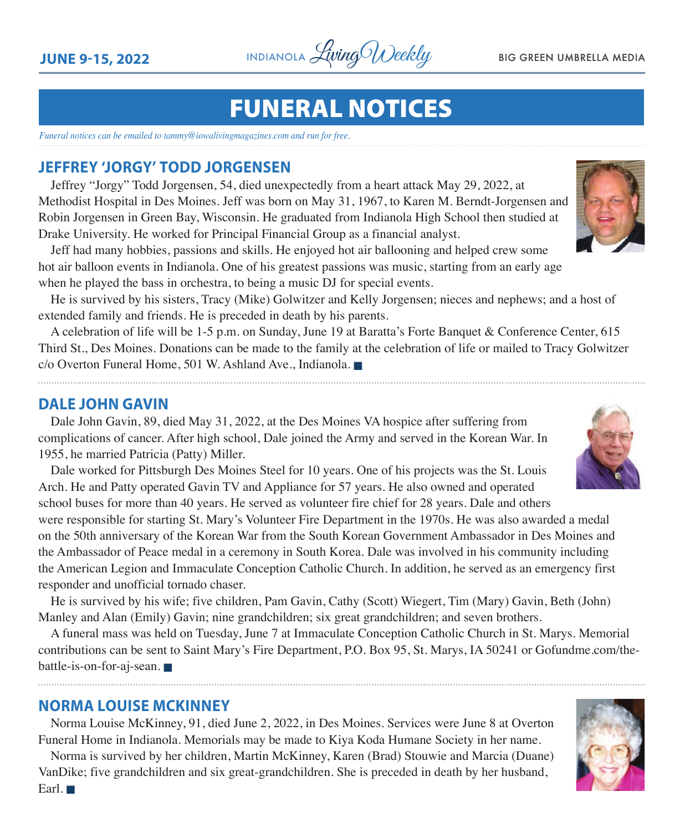

# FUNERAL NOTICES

*Funeral notices can be emailed to tammy@iowalivingmagazines.com and run for free.*

#### **JEFFREY 'JORGY' TODD JORGENSEN**

Jeffrey "Jorgy" Todd Jorgensen, 54, died unexpectedly from a heart attack May 29, 2022, at Methodist Hospital in Des Moines. Jeff was born on May 31, 1967, to Karen M. Berndt-Jorgensen and Robin Jorgensen in Green Bay, Wisconsin. He graduated from Indianola High School then studied at Drake University. He worked for Principal Financial Group as a financial analyst.

Jeff had many hobbies, passions and skills. He enjoyed hot air ballooning and helped crew some hot air balloon events in Indianola. One of his greatest passions was music, starting from an early age when he played the bass in orchestra, to being a music DJ for special events.

He is survived by his sisters, Tracy (Mike) Golwitzer and Kelly Jorgensen; nieces and nephews; and a host of extended family and friends. He is preceded in death by his parents.

A celebration of life will be 1-5 p.m. on Sunday, June 19 at Baratta's Forte Banquet & Conference Center, 615 Third St., Des Moines. Donations can be made to the family at the celebration of life or mailed to Tracy Golwitzer c/o Overton Funeral Home, 501 W. Ashland Ave., Indianola.

#### **DALE JOHN GAVIN**

Dale John Gavin, 89, died May 31, 2022, at the Des Moines VA hospice after suffering from complications of cancer. After high school, Dale joined the Army and served in the Korean War. In 1955, he married Patricia (Patty) Miller.

Dale worked for Pittsburgh Des Moines Steel for 10 years. One of his projects was the St. Louis Arch. He and Patty operated Gavin TV and Appliance for 57 years. He also owned and operated school buses for more than 40 years. He served as volunteer fire chief for 28 years. Dale and others

were responsible for starting St. Mary's Volunteer Fire Department in the 1970s. He was also awarded a medal on the 50th anniversary of the Korean War from the South Korean Government Ambassador in Des Moines and the Ambassador of Peace medal in a ceremony in South Korea. Dale was involved in his community including the American Legion and Immaculate Conception Catholic Church. In addition, he served as an emergency first responder and unofficial tornado chaser.

He is survived by his wife; five children, Pam Gavin, Cathy (Scott) Wiegert, Tim (Mary) Gavin, Beth (John) Manley and Alan (Emily) Gavin; nine grandchildren; six great grandchildren; and seven brothers.

A funeral mass was held on Tuesday, June 7 at Immaculate Conception Catholic Church in St. Marys. Memorial contributions can be sent to Saint Mary's Fire Department, P.O. Box 95, St. Marys, IA 50241 or [Gofundme.com/the](http://Gofundme.com/the-battle-is-on-for-aj-sean) $b$ attle-is-on-for-aj-sean.

#### **NORMA LOUISE MCKINNEY**

Norma Louise McKinney, 91, died June 2, 2022, in Des Moines. Services were June 8 at Overton Funeral Home in Indianola. Memorials may be made to Kiya Koda Humane Society in her name.

Norma is survived by her children, Martin McKinney, Karen (Brad) Stouwie and Marcia (Duane) VanDike; five grandchildren and six great-grandchildren. She is preceded in death by her husband, Earl.  $\blacksquare$ 





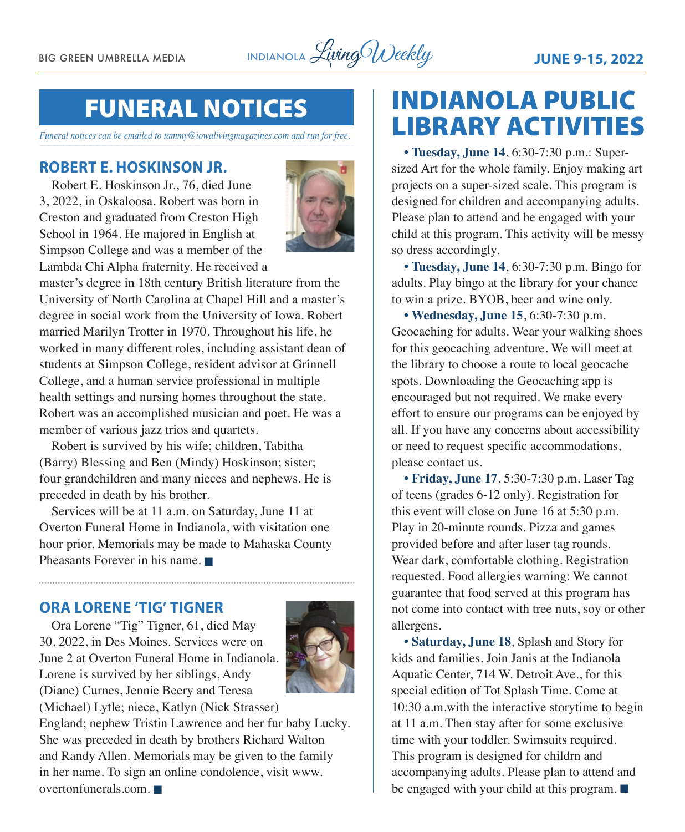BIG GREEN UMBRELLA MEDIA **INDIANOLA** Living Weekly **JUNE 9-15, 2022** 

# FUNERAL NOTICES

*Funeral notices can be emailed to tammy@iowalivingmagazines.com and run for free.*

#### **ROBERT E. HOSKINSON JR.**

Robert E. Hoskinson Jr., 76, died June 3, 2022, in Oskaloosa. Robert was born in Creston and graduated from Creston High School in 1964. He majored in English at Simpson College and was a member of the Lambda Chi Alpha fraternity. He received a



master's degree in 18th century British literature from the University of North Carolina at Chapel Hill and a master's degree in social work from the University of Iowa. Robert married Marilyn Trotter in 1970. Throughout his life, he worked in many different roles, including assistant dean of students at Simpson College, resident advisor at Grinnell College, and a human service professional in multiple health settings and nursing homes throughout the state. Robert was an accomplished musician and poet. He was a member of various jazz trios and quartets.

Robert is survived by his wife; children, Tabitha (Barry) Blessing and Ben (Mindy) Hoskinson; sister; four grandchildren and many nieces and nephews. He is preceded in death by his brother.

Services will be at 11 a.m. on Saturday, June 11 at Overton Funeral Home in Indianola, with visitation one hour prior. Memorials may be made to Mahaska County Pheasants Forever in his name.  $\blacksquare$ 

#### **ORA LORENE 'TIG' TIGNER**

Ora Lorene "Tig" Tigner, 61, died May 30, 2022, in Des Moines. Services were on June 2 at Overton Funeral Home in Indianola. Lorene is survived by her siblings, Andy (Diane) Curnes, Jennie Beery and Teresa (Michael) Lytle; niece, Katlyn (Nick Strasser)



England; nephew Tristin Lawrence and her fur baby Lucky. She was preceded in death by brothers Richard Walton and Randy Allen. Memorials may be given to the family in her name. To sign an online condolence, visit [www.](http://www.overtonfunerals.com)  $overto$ funerals.com.  $\blacksquare$ 

# INDIANOLA PUBLIC LIBRARY ACTIVITIES

**• Tuesday, June 14**, 6:30-7:30 p.m.: Supersized Art for the whole family. Enjoy making art projects on a super-sized scale. This program is designed for children and accompanying adults. Please plan to attend and be engaged with your child at this program. This activity will be messy so dress accordingly.

**• Tuesday, June 14**, 6:30-7:30 p.m. Bingo for adults. Play bingo at the library for your chance to win a prize. BYOB, beer and wine only.

**• Wednesday, June 15**, 6:30-7:30 p.m. Geocaching for adults. Wear your walking shoes for this geocaching adventure. We will meet at the library to choose a route to local geocache spots. Downloading the Geocaching app is encouraged but not required. We make every effort to ensure our programs can be enjoyed by all. If you have any concerns about accessibility or need to request specific accommodations, please contact us.

**• Friday, June 17**, 5:30-7:30 p.m. Laser Tag of teens (grades 6-12 only). Registration for this event will close on June 16 at 5:30 p.m. Play in 20-minute rounds. Pizza and games provided before and after laser tag rounds. Wear dark, comfortable clothing. Registration requested. Food allergies warning: We cannot guarantee that food served at this program has not come into contact with tree nuts, soy or other allergens.

**• Saturday, June 18**, Splash and Story for kids and families. Join Janis at the Indianola Aquatic Center, 714 W. Detroit Ave., for this special edition of Tot Splash Time. Come at 10:30 a.m.with the interactive storytime to begin at 11 a.m. Then stay after for some exclusive time with your toddler. Swimsuits required. This program is designed for childrn and accompanying adults. Please plan to attend and be engaged with your child at this program.  $\blacksquare$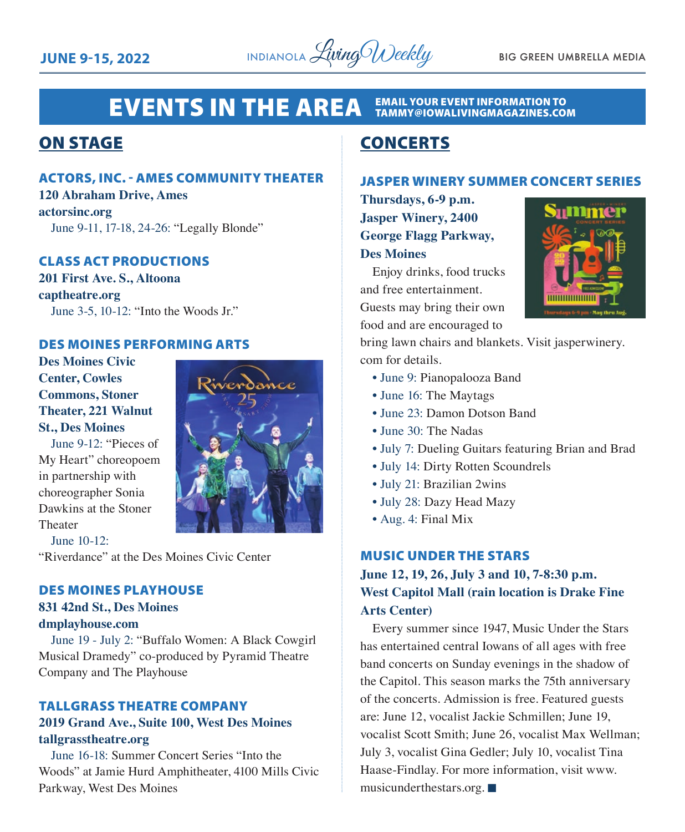

#### **EVENTS IN THE AREA EMAIL YOUR EVENT INFORMATION TO<br>TAMMY@IOWALIVINGMAGAZINES.COM**

### ON STAGE

#### ACTORS, INC. - AMES COMMUNITY THEATER

**120 Abraham Drive, Ames actorsinc.org** June 9-11, 17-18, 24-26: "Legally Blonde"

#### CLASS ACT PRODUCTIONS

**201 First Ave. S., Altoona captheatre.org** June 3-5, 10-12: "Into the Woods Jr."

#### DES MOINES PERFORMING ARTS

**Des Moines Civic Center, Cowles Commons, Stoner Theater, 221 Walnut St., Des Moines**

June 9-12: "Pieces of My Heart" choreopoem in partnership with choreographer Sonia Dawkins at the Stoner Theater



June 10-12:

"Riverdance" at the Des Moines Civic Center

#### DES MOINES PLAYHOUSE

#### **831 42nd St., Des Moines dmplayhouse.com**

June 19 - July 2: "Buffalo Women: A Black Cowgirl Musical Dramedy" co-produced by Pyramid Theatre Company and The Playhouse

## TALLGRASS THEATRE COMPANY

#### **2019 Grand Ave., Suite 100, West Des Moines tallgrasstheatre.org**

June 16-18: Summer Concert Series "Into the Woods" at Jamie Hurd Amphitheater, 4100 Mills Civic Parkway, West Des Moines

## **CONCERTS**

#### JASPER WINERY SUMMER CONCERT SERIES

**Thursdays, 6-9 p.m. Jasper Winery, 2400 George Flagg Parkway, Des Moines**

Enjoy drinks, food trucks and free entertainment. Guests may bring their own food and are encouraged to

bring lawn chairs and blankets. Visit jasperwinery. com for details.

- June 9: Pianopalooza Band
- June 16: The Maytags
- June 23: Damon Dotson Band
- June 30: The Nadas
- July 7: Dueling Guitars featuring Brian and Brad
- July 14: Dirty Rotten Scoundrels
- July 21: Brazilian 2wins
- July 28: Dazy Head Mazy
- Aug. 4: Final Mix

#### MUSIC UNDER THE STARS

**June 12, 19, 26, July 3 and 10, 7-8:30 p.m. West Capitol Mall (rain location is Drake Fine Arts Center)**

Every summer since 1947, Music Under the Stars has entertained central Iowans of all ages with free band concerts on Sunday evenings in the shadow of the Capitol. This season marks the 75th anniversary of the concerts. Admission is free. Featured guests are: June 12, vocalist Jackie Schmillen; June 19, vocalist Scott Smith; June 26, vocalist Max Wellman; July 3, vocalist Gina Gedler; July 10, vocalist Tina Haase-Findlay. For more information, visit www. musicunderthestars.org.  $\blacksquare$ 

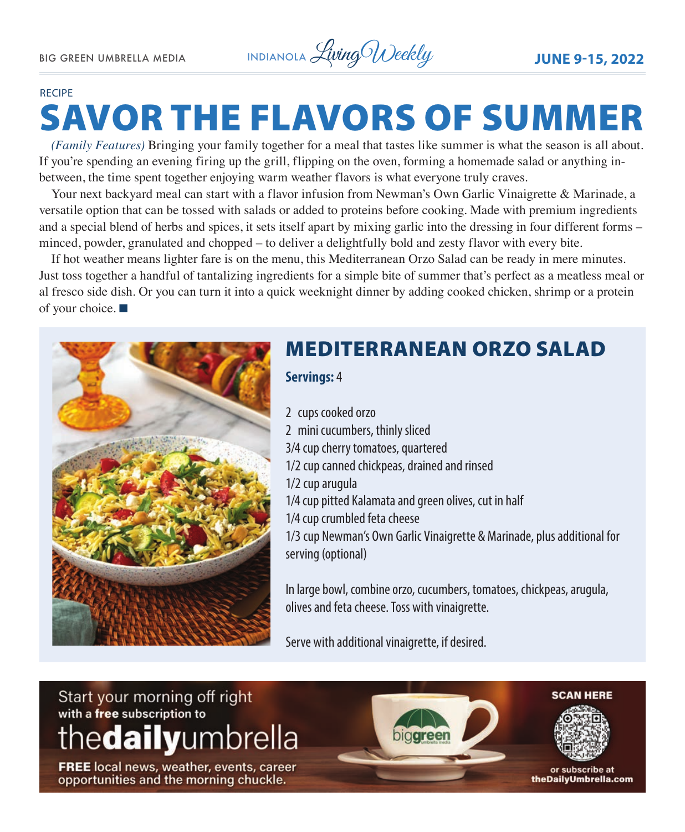#### RECIPE

# SAVOR THE FLAVORS OF SUMMER

*(Family Features)* Bringing your family together for a meal that tastes like summer is what the season is all about. If you're spending an evening firing up the grill, flipping on the oven, forming a homemade salad or anything inbetween, the time spent together enjoying warm weather flavors is what everyone truly craves.

Your next backyard meal can start with a flavor infusion from Newman's Own Garlic Vinaigrette & Marinade, a versatile option that can be tossed with salads or added to proteins before cooking. Made with premium ingredients and a special blend of herbs and spices, it sets itself apart by mixing garlic into the dressing in four different forms – minced, powder, granulated and chopped – to deliver a delightfully bold and zesty flavor with every bite.

If hot weather means lighter fare is on the menu, this Mediterranean Orzo Salad can be ready in mere minutes. Just toss together a handful of tantalizing ingredients for a simple bite of summer that's perfect as a meatless meal or al fresco side dish. Or you can turn it into a quick weeknight dinner by adding cooked chicken, shrimp or a protein of your choice.  $\blacksquare$ 



# MEDITERRANEAN ORZO SALAD

**Servings:** 4

2 cups cooked orzo

2 mini cucumbers, thinly sliced 3/4 cup cherry tomatoes, quartered 1/2 cup canned chickpeas, drained and rinsed 1/2 cup arugula 1/4 cup pitted Kalamata and green olives, cut in half 1/4 cup crumbled feta cheese 1/3 cup Newman's Own Garlic Vinaigrette & Marinade, plus additional for serving (optional)

In large bowl, combine orzo, cucumbers, tomatoes, chickpeas, arugula, olives and feta cheese. Toss with vinaigrette.

Serve with additional vinaigrette, if desired.

# Start your morning off right with a free subscription to thedailyumbrella

FREE local news, weather, events, career opportunities and the morning chuckle.